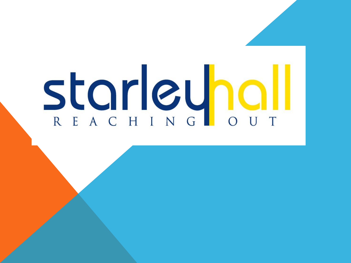## Starleyhall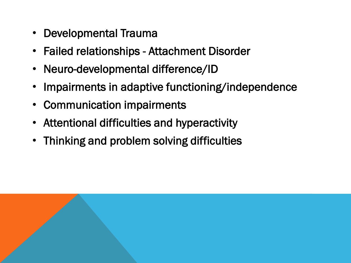- Developmental Trauma
- Failed relationships Attachment Disorder
- Neuro-developmental difference/ID
- Impairments in adaptive functioning/independence
- Communication impairments
- Attentional difficulties and hyperactivity
- Thinking and problem solving difficulties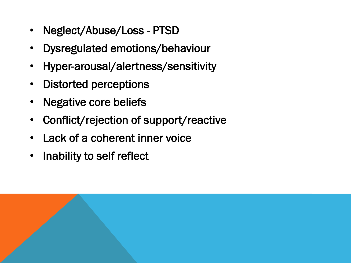- Neglect/Abuse/Loss PTSD
- Dysregulated emotions/behaviour
- Hyper-arousal/alertness/sensitivity
- Distorted perceptions
- Negative core beliefs
- Conflict/rejection of support/reactive
- Lack of a coherent inner voice
- Inability to self reflect

l<br>I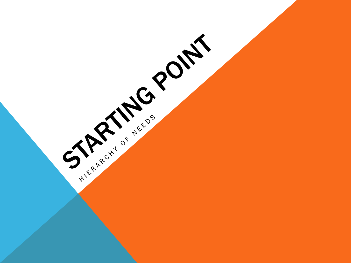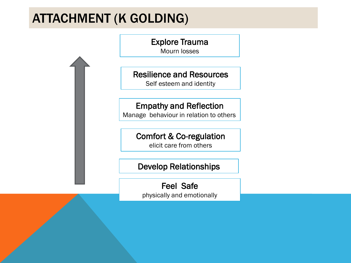## ATTACHMENT (K GOLDING)



## Develop Relationships

Feel Safe physically and emotionally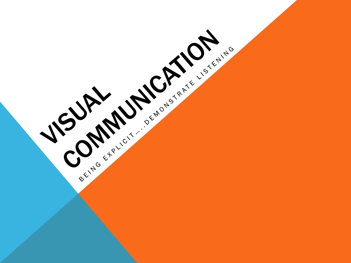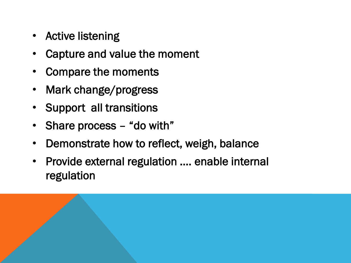- Active listening
- Capture and value the moment
- Compare the moments
- Mark change/progress
- Support all transitions
- Share process "do with"
- Demonstrate how to reflect, weigh, balance
- Provide external regulation …. enable internal regulation

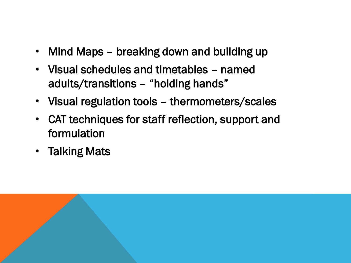- Mind Maps breaking down and building up
- Visual schedules and timetables named adults/transitions – "holding hands"
- Visual regulation tools thermometers/scales
- CAT techniques for staff reflection, support and formulation
- Talking Mats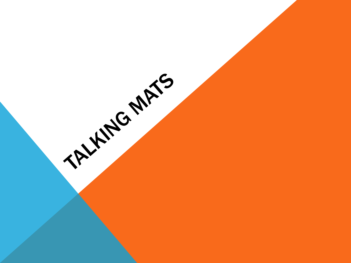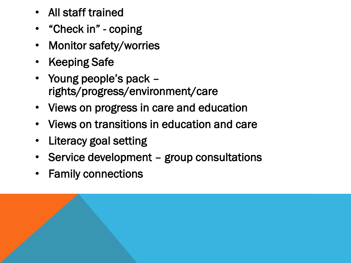- All staff trained
- "Check in" coping
- Monitor safety/worries
- Keeping Safe
- Young people's pack rights/progress/environment/care
- Views on progress in care and education
- Views on transitions in education and care
- Literacy goal setting
- Service development group consultations
- Family connections

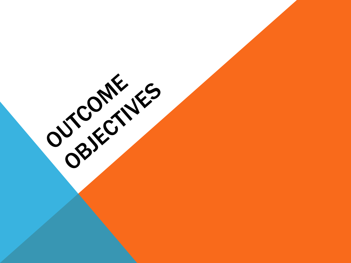